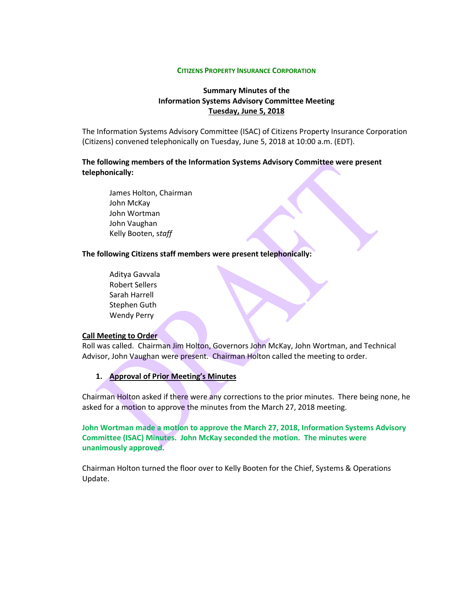#### **CITIZENS PROPERTY INSURANCE CORPORATION**

# **Summary Minutes of the Information Systems Advisory Committee Meeting Tuesday, June 5, 2018**

The Information Systems Advisory Committee (ISAC) of Citizens Property Insurance Corporation (Citizens) convened telephonically on Tuesday, June 5, 2018 at 10:00 a.m. (EDT).

# **The following members of the Information Systems Advisory Committee were present telephonically:**

James Holton, Chairman John McKay John Wortman John Vaughan Kelly Booten, s*taff*

### **The following Citizens staff members were present telephonically:**

Aditya Gavvala Robert Sellers Sarah Harrell Stephen Guth Wendy Perry

#### **Call Meeting to Order**

Roll was called. Chairman Jim Holton, Governors John McKay, John Wortman, and Technical Advisor, John Vaughan were present. Chairman Holton called the meeting to order.

**1. Approval of Prior Meeting's Minutes**

Chairman Holton asked if there were any corrections to the prior minutes. There being none, he asked for a motion to approve the minutes from the March 27, 2018 meeting.

**John Wortman made a motion to approve the March 27, 2018, Information Systems Advisory Committee (ISAC) Minutes. John McKay seconded the motion. The minutes were unanimously approved.**

Chairman Holton turned the floor over to Kelly Booten for the Chief, Systems & Operations Update.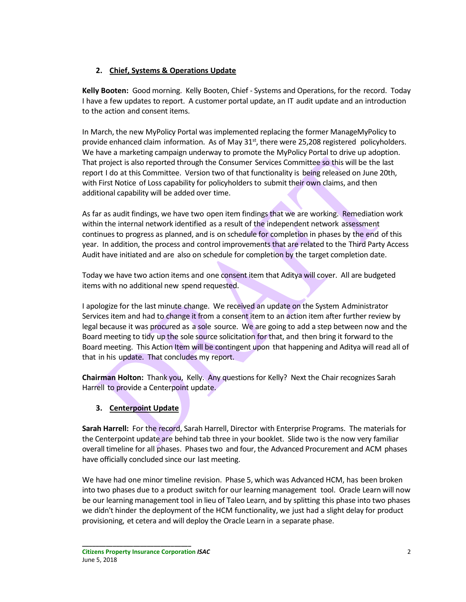# **2. Chief, Systems & Operations Update**

**Kelly Booten:** Good morning. Kelly Booten, Chief - Systems and Operations, for the record. Today I have a few updates to report. A customer portal update, an IT audit update and an introduction to the action and consent items.

In March, the new MyPolicy Portal was implemented replacing the former ManageMyPolicy to provide enhanced claim information. As of May  $31<sup>st</sup>$ , there were 25,208 registered policyholders. We have a marketing campaign underway to promote the MyPolicy Portal to drive up adoption. That project is also reported through the Consumer Services Committee so this will be the last report I do at this Committee. Version two of that functionality is being released on June 20th, with First Notice of Loss capability for policyholders to submit their own claims, and then additional capability will be added over time.

As far as audit findings, we have two open item findings that we are working. Remediation work within the internal network identified as a result of the independent network assessment continues to progress as planned, and is on schedule for completion in phases by the end of this year. In addition, the process and control improvements that are related to the Third Party Access Audit have initiated and are also on schedule for completion by the target completion date.

Today we have two action items and one consent item that Aditya will cover. All are budgeted items with no additional new spend requested.

I apologize for the last minute change. We received an update on the System Administrator Services item and had to change it from a consent item to an action item after further review by legal because it was procured as a sole source. We are going to add a step between now and the Board meeting to tidy up the sole source solicitation for that, and then bring it forward to the Board meeting. This Action Item will be contingent upon that happening and Aditya will read all of that in his update. That concludes my report.

**Chairman Holton:** Thank you, Kelly. Any questions for Kelly? Next the Chair recognizes Sarah Harrell to provide a Centerpoint update.

# **3. Centerpoint Update**

**Sarah Harrell:** For the record, Sarah Harrell, Director with Enterprise Programs. The materials for the Centerpoint update are behind tab three in your booklet. Slide two is the now very familiar overall timeline for all phases. Phases two and four, the Advanced Procurement and ACM phases have officially concluded since our last meeting.

We have had one minor timeline revision. Phase 5, which was Advanced HCM, has been broken into two phases due to a product switch for our learning management tool. Oracle Learn will now be our learning management tool in lieu of Taleo Learn, and by splitting this phase into two phases we didn't hinder the deployment of the HCM functionality, we just had a slight delay for product provisioning, et cetera and will deploy the Oracle Learn in a separate phase.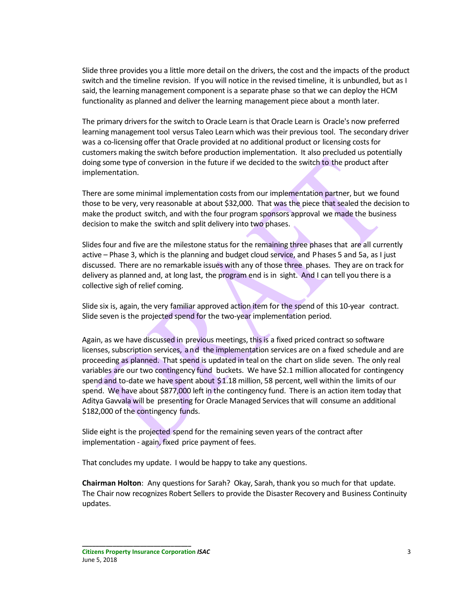Slide three provides you a little more detail on the drivers, the cost and the impacts of the product switch and the timeline revision. If you will notice in the revised timeline, it is unbundled, but as I said, the learning management component is a separate phase so that we can deploy the HCM functionality as planned and deliver the learning management piece about a month later.

The primary drivers for the switch to Oracle Learn is that Oracle Learn is Oracle's now preferred learning management tool versus Taleo Learn which was their previous tool. The secondary driver was a co-licensing offer that Oracle provided at no additional product or licensing costs for customers making the switch before production implementation. It also precluded us potentially doing some type of conversion in the future if we decided to the switch to the product after implementation.

There are some minimal implementation costs from our implementation partner, but we found those to be very, very reasonable at about \$32,000. That was the piece that sealed the decision to make the product switch, and with the four program sponsors approval we made the business decision to make the switch and split delivery into two phases.

Slides four and five are the milestone status for the remaining three phases that are all currently active – Phase 3, which is the planning and budget cloud service, and Phases 5 and 5a, as I just discussed. There are no remarkable issues with any of those three phases. They are on track for delivery as planned and, at long last, the program end is in sight. And I can tell you there is a collective sigh of relief coming.

Slide six is, again, the very familiar approved action item for the spend of this 10-year contract. Slide seven is the projected spend for the two-year implementation period.

Again, as we have discussed in previous meetings, this is a fixed priced contract so software licenses, subscription services, and the implementation services are on a fixed schedule and are proceeding as planned. That spend is updated in teal on the chart on slide seven. The only real variables are our two contingency fund buckets. We have \$2.1 million allocated for contingency spend and to-date we have spent about \$1.18 million, 58 percent, well within the limits of our spend. We have about \$877,000 left in the contingency fund. There is an action item today that Aditya Gavvala will be presenting for Oracle Managed Services that will consume an additional \$182,000 of the contingency funds.

Slide eight is the projected spend for the remaining seven years of the contract after implementation - again, fixed price payment of fees.

That concludes my update. I would be happy to take any questions.

**Chairman Holton**: Any questions for Sarah? Okay, Sarah, thank you so much for that update. The Chair now recognizes Robert Sellers to provide the Disaster Recovery and Business Continuity updates.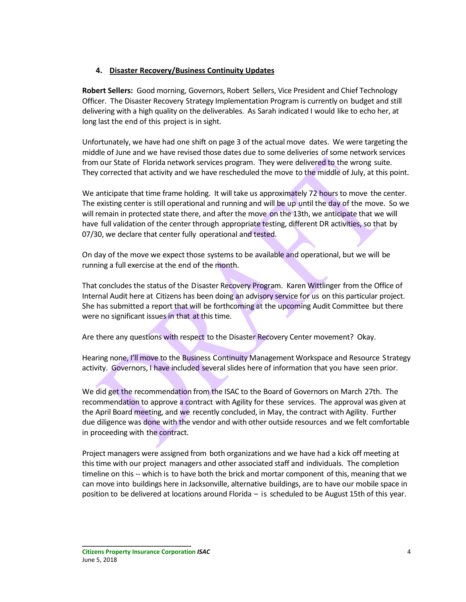# **4. Disaster Recovery/Business Continuity Updates**

**Robert Sellers:** Good morning, Governors, Robert Sellers, Vice President and Chief Technology Officer. The Disaster Recovery Strategy Implementation Program is currently on budget and still delivering with a high quality on the deliverables. As Sarah indicated I would like to echo her, at long last the end of this project is in sight.

Unfortunately, we have had one shift on page 3 of the actual move dates. We were targeting the middle of June and we have revised those dates due to some deliveries of some network services from our State of Florida network services program. They were delivered to the wrong suite. They corrected that activity and we have rescheduled the move to the middle of July, at this point.

We anticipate that time frame holding. It will take us approximately 72 hours to move the center. The existing center is still operational and running and will be up until the day of the move. So we will remain in protected state there, and after the move on the 13th, we anticipate that we will have full validation of the center through appropriate testing, different DR activities, so that by 07/30, we declare that center fully operational and tested.

On day of the move we expect those systems to be available and operational, but we will be running a full exercise at the end of the month.

That concludes the status of the Disaster Recovery Program. Karen Wittlinger from the Office of Internal Audit here at Citizens has been doing an advisory service for us on this particular project. She has submitted a report that will be forthcoming at the upcoming Audit Committee but there were no significant issues in that at this time.

Are there any questions with respect to the Disaster Recovery Center movement? Okay.

Hearing none, I'll move to the Business Continuity Management Workspace and Resource Strategy activity. Governors, I have included several slides here of information that you have seen prior.

We did get the recommendation from the ISAC to the Board of Governors on March 27th. The recommendation to approve a contract with Agility for these services. The approval was given at the April Board meeting, and we recently concluded, in May, the contract with Agility. Further due diligence was done with the vendor and with other outside resources and we felt comfortable in proceeding with the contract.

Project managers were assigned from both organizations and we have had a kick off meeting at this time with our project managers and other associated staff and individuals. The completion timeline on this -- which is to have both the brick and mortar component of this, meaning that we can move into buildings here in Jacksonville, alternative buildings, are to have our mobile space in position to be delivered at locations around Florida – is scheduled to be August 15th of this year.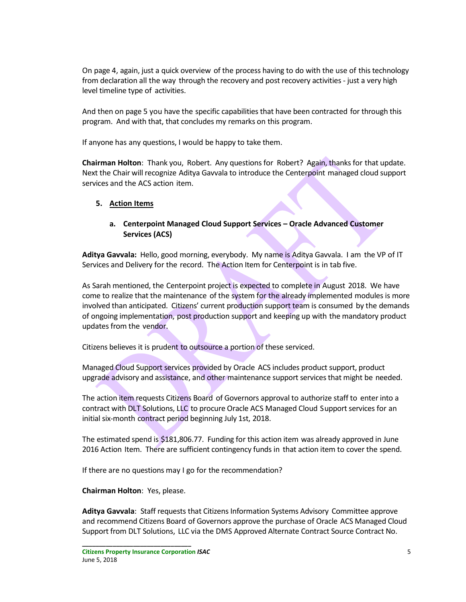On page 4, again, just a quick overview of the process having to do with the use of this technology from declaration all the way through the recovery and post recovery activities - just a very high level timeline type of activities.

And then on page 5 you have the specific capabilities that have been contracted for through this program. And with that, that concludes my remarks on this program.

If anyone has any questions, I would be happy to take them.

**Chairman Holton**: Thank you, Robert. Any questions for Robert? Again, thanks for that update. Next the Chair will recognize Aditya Gavvala to introduce the Centerpoint managed cloud support services and the ACS action item.

### **5. Action Items**

## **a. Centerpoint Managed Cloud Support Services – Oracle Advanced Customer Services (ACS)**

**Aditya Gavvala:** Hello, good morning, everybody. My name is Aditya Gavvala. I am the VP of IT Services and Delivery for the record. The Action Item for Centerpoint is in tab five.

As Sarah mentioned, the Centerpoint project is expected to complete in August 2018. We have come to realize that the maintenance of the system for the already implemented modules is more involved than anticipated. Citizens' current production support team is consumed by the demands of ongoing implementation, post production support and keeping up with the mandatory product updates from the vendor.

Citizens believes it is prudent to outsource a portion of these serviced.

Managed Cloud Support services provided by Oracle ACS includes product support, product upgrade advisory and assistance, and other maintenance support services that might be needed.

The action item requests Citizens Board of Governors approval to authorize staff to enter into a contract with DLT Solutions, LLC to procure Oracle ACS Managed Cloud Support services for an initial six-month contract period beginning July 1st, 2018.

The estimated spend is \$181,806.77. Funding for this action item was already approved in June 2016 Action Item. There are sufficient contingency funds in that action item to cover the spend.

If there are no questions may I go for the recommendation?

**Chairman Holton**: Yes, please.

**Aditya Gavvala**: Staff requests that Citizens Information Systems Advisory Committee approve and recommend Citizens Board of Governors approve the purchase of Oracle ACS Managed Cloud Support from DLT Solutions, LLC via the DMS Approved Alternate Contract Source Contract No.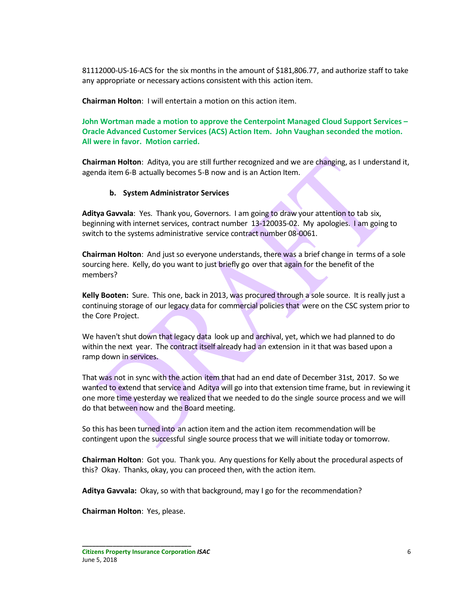81112000-US-16-ACS for the six months in the amount of \$181,806.77, and authorize staff to take any appropriate or necessary actions consistent with this action item.

**Chairman Holton**: I will entertain a motion on this action item.

**John Wortman made a motion to approve the Centerpoint Managed Cloud Support Services – Oracle Advanced Customer Services (ACS) Action Item. John Vaughan seconded the motion. All were in favor. Motion carried.**

**Chairman Holton**: Aditya, you are still further recognized and we are changing, as I understand it, agenda item 6-B actually becomes 5-B now and is an Action Item.

### **b. System Administrator Services**

**Aditya Gavvala**: Yes. Thank you, Governors. I am going to draw your attention to tab six, beginning with internet services, contract number 13-120035-02. My apologies. I am going to switch to the systems administrative service contract number 08-0061.

**Chairman Holton**: And just so everyone understands, there was a brief change in terms of a sole sourcing here. Kelly, do you want to just briefly go over that again for the benefit of the members?

**Kelly Booten:** Sure. This one, back in 2013, was procured through a sole source. It is really just a continuing storage of our legacy data for commercial policies that were on the CSC system prior to the Core Project.

We haven't shut down that legacy data look up and archival, yet, which we had planned to do within the next year. The contract itself already had an extension in it that was based upon a ramp down in services.

That was not in sync with the action item that had an end date of December 31st, 2017. So we wanted to extend that service and Aditya will go into that extension time frame, but in reviewing it one more time yesterday we realized that we needed to do the single source process and we will do that between now and the Board meeting.

So this has been turned into an action item and the action item recommendation will be contingent upon the successful single source process that we will initiate today or tomorrow.

**Chairman Holton**: Got you. Thank you. Any questions for Kelly about the procedural aspects of this? Okay. Thanks, okay, you can proceed then, with the action item.

**Aditya Gavvala:** Okay, so with that background, may I go for the recommendation?

**Chairman Holton**: Yes, please.

**Citizens Property Insurance Corporation** *ISAC* 6 June 5, 2018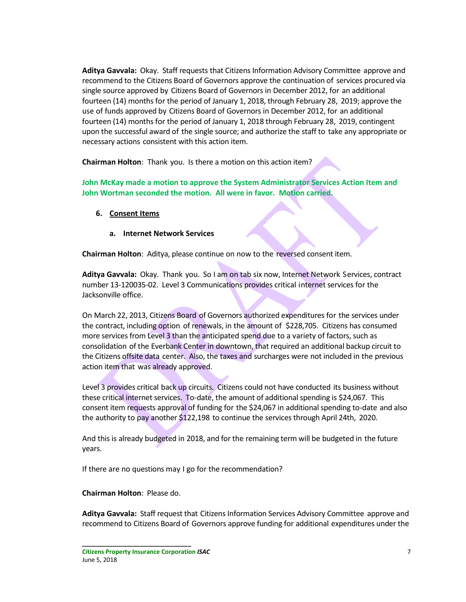**Aditya Gavvala:** Okay. Staff requests that Citizens Information Advisory Committee approve and recommend to the Citizens Board of Governors approve the continuation of services procured via single source approved by Citizens Board of Governors in December 2012, for an additional fourteen (14) months for the period of January 1, 2018, through February 28, 2019; approve the use of funds approved by Citizens Board of Governors in December 2012, for an additional fourteen (14) months for the period of January 1, 2018 through February 28, 2019, contingent upon the successful award of the single source; and authorize the staff to take any appropriate or necessary actions consistent with this action item.

**Chairman Holton**: Thank you. Is there a motion on this action item?

**John McKay made a motion to approve the System Administrator Services Action Item and John Wortman seconded the motion. All were in favor. Motion carried.**

- **6. Consent Items**
	- **a. Internet Network Services**

**Chairman Holton**: Aditya, please continue on now to the reversed consent item.

**Aditya Gavvala:** Okay. Thank you. So I am on tab six now, Internet Network Services, contract number 13-120035-02. Level 3 Communications provides critical internet services for the Jacksonville office.

On March 22, 2013, Citizens Board of Governors authorized expenditures for the services under the contract, including option of renewals, in the amount of \$228,705. Citizens has consumed more services from Level 3 than the anticipated spend due to a variety of factors, such as consolidation of the Everbank Center in downtown, that required an additional backup circuit to the Citizens offsite data center. Also, the taxes and surcharges were not included in the previous action item that was already approved.

Level 3 provides critical back up circuits. Citizens could not have conducted its business without these critical internet services. To-date, the amount of additional spending is \$24,067. This consent item requests approval of funding for the \$24,067 in additional spending to-date and also the authority to pay another \$122,198 to continue the services through April 24th, 2020.

And this is already budgeted in 2018, and for the remaining term will be budgeted in the future years.

If there are no questions may I go for the recommendation?

**Chairman Holton**: Please do.

**Aditya Gavvala:** Staff request that Citizens Information Services Advisory Committee approve and recommend to Citizens Board of Governors approve funding for additional expenditures under the